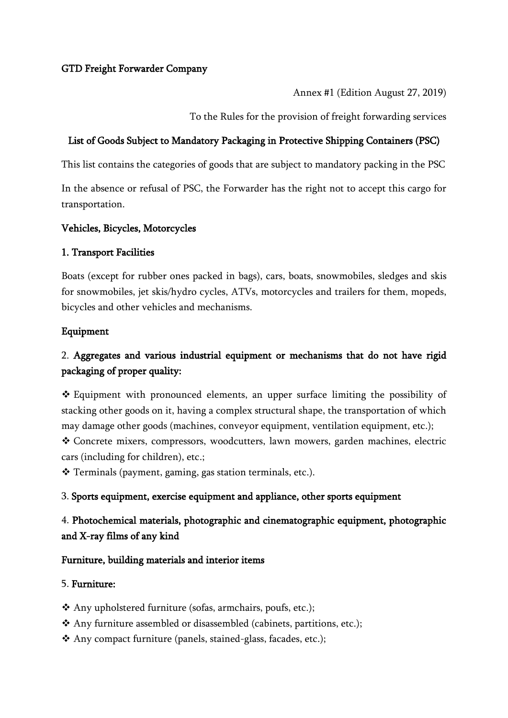### GTD Freight Forwarder Company

Annex #1 (Edition August 27, 2019)

To the Rules for the provision of freight forwarding services

#### List of Goods Subject to Mandatory Packaging in Protective Shipping Containers (PSC)

This list contains the categories of goods that are subject to mandatory packing in the PSC

In the absence or refusal of PSC, the Forwarder has the right not to accept this cargo for transportation.

#### Vehicles, Bicycles, Motorcycles

#### 1. Transport Facilities

Boats (except for rubber ones packed in bags), cars, boats, snowmobiles, sledges and skis for snowmobiles, jet skis/hydro cycles, ATVs, motorcycles and trailers for them, mopeds, bicycles and other vehicles and mechanisms.

#### Equipment

# 2. Aggregates and various industrial equipment or mechanisms that do not have rigid packaging of proper quality:

❖ Equipment with pronounced elements, an upper surface limiting the possibility of stacking other goods on it, having a complex structural shape, the transportation of which may damage other goods (machines, conveyor equipment, ventilation equipment, etc.); ❖ Concrete mixers, compressors, woodcutters, lawn mowers, garden machines, electric cars (including for children), etc.;

❖ Terminals (payment, gaming, gas station terminals, etc.).

#### 3. Sports equipment, exercise equipment and appliance, other sports equipment

## 4. Photochemical materials, photographic and cinematographic equipment, photographic and X-ray films of any kind

#### Furniture, building materials and interior items

#### 5. Furniture:

- ❖ Any upholstered furniture (sofas, armchairs, poufs, etc.);
- ❖ Any furniture assembled or disassembled (cabinets, partitions, etc.);
- ❖ Any compact furniture (panels, stained-glass, facades, etc.);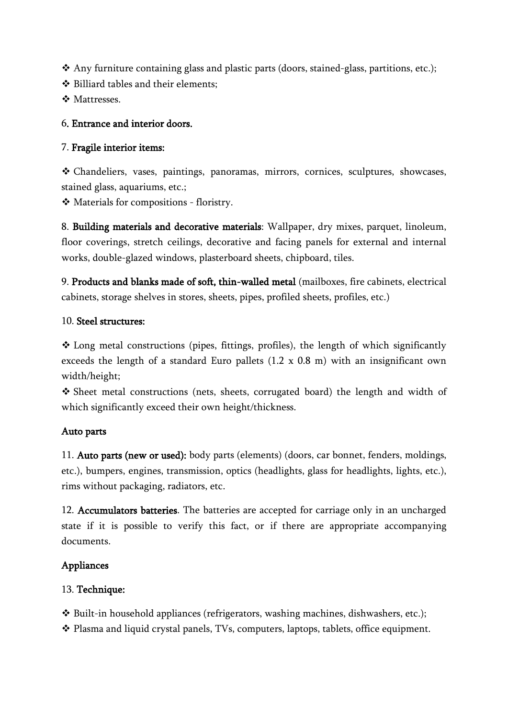❖ Any furniture containing glass and plastic parts (doors, stained-glass, partitions, etc.);

❖ Billiard tables and their elements;

❖ Mattresses.

## 6. Entrance and interior doors.

### 7. Fragile interior items:

❖ Chandeliers, vases, paintings, panoramas, mirrors, cornices, sculptures, showcases, stained glass, aquariums, etc.;

❖ Materials for compositions - floristry.

8. Building materials and decorative materials: Wallpaper, dry mixes, parquet, linoleum, floor coverings, stretch ceilings, decorative and facing panels for external and internal works, double-glazed windows, plasterboard sheets, chipboard, tiles.

9. Products and blanks made of soft, thin-walled metal (mailboxes, fire cabinets, electrical cabinets, storage shelves in stores, sheets, pipes, profiled sheets, profiles, etc.)

### 10. Steel structures:

❖ Long metal constructions (pipes, fittings, profiles), the length of which significantly exceeds the length of a standard Euro pallets (1.2 x 0.8 m) with an insignificant own width/height;

❖ Sheet metal constructions (nets, sheets, corrugated board) the length and width of which significantly exceed their own height/thickness.

## Auto parts

11. Auto parts (new or used): body parts (elements) (doors, car bonnet, fenders, moldings, etc.), bumpers, engines, transmission, optics (headlights, glass for headlights, lights, etc.), rims without packaging, radiators, etc.

12. Accumulators batteries. The batteries are accepted for carriage only in an uncharged state if it is possible to verify this fact, or if there are appropriate accompanying documents.

## Appliances

## 13. Technique:

❖ Built-in household appliances (refrigerators, washing machines, dishwashers, etc.);

❖ Plasma and liquid crystal panels, TVs, computers, laptops, tablets, office equipment.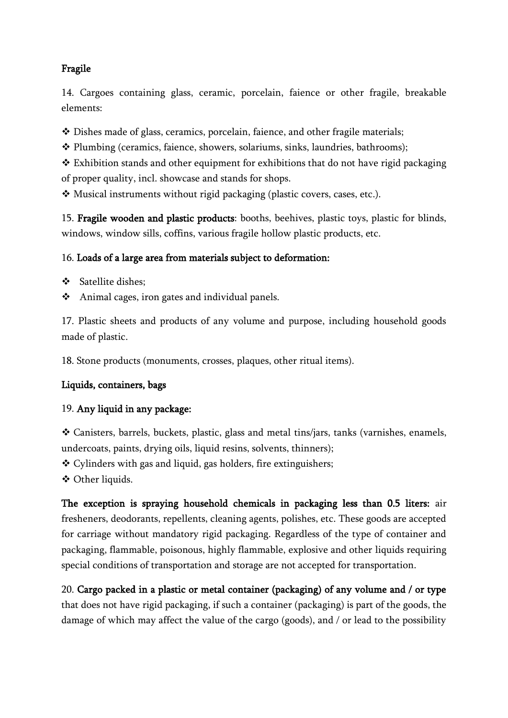## Fragile

14. Cargoes containing glass, ceramic, porcelain, faience or other fragile, breakable elements:

❖ Dishes made of glass, ceramics, porcelain, faience, and other fragile materials;

❖ Plumbing (ceramics, faience, showers, solariums, sinks, laundries, bathrooms);

❖ Exhibition stands and other equipment for exhibitions that do not have rigid packaging of proper quality, incl. showcase and stands for shops.

❖ Musical instruments without rigid packaging (plastic covers, cases, etc.).

15. Fragile wooden and plastic products: booths, beehives, plastic toys, plastic for blinds, windows, window sills, coffins, various fragile hollow plastic products, etc.

### 16. Loads of a large area from materials subject to deformation:

❖ Satellite dishes;

❖ Animal cages, iron gates and individual panels.

17. Plastic sheets and products of any volume and purpose, including household goods made of plastic.

18. Stone products (monuments, crosses, plaques, other ritual items).

## Liquids, containers, bags

### 19. Any liquid in any package:

❖ Canisters, barrels, buckets, plastic, glass and metal tins/jars, tanks (varnishes, enamels, undercoats, paints, drying oils, liquid resins, solvents, thinners);

❖ Cylinders with gas and liquid, gas holders, fire extinguishers;

❖ Other liquids.

The exception is spraying household chemicals in packaging less than 0.5 liters: air fresheners, deodorants, repellents, cleaning agents, polishes, etc. These goods are accepted for carriage without mandatory rigid packaging. Regardless of the type of container and packaging, flammable, poisonous, highly flammable, explosive and other liquids requiring special conditions of transportation and storage are not accepted for transportation.

20. Cargo packed in a plastic or metal container (packaging) of any volume and / or type that does not have rigid packaging, if such a container (packaging) is part of the goods, the damage of which may affect the value of the cargo (goods), and / or lead to the possibility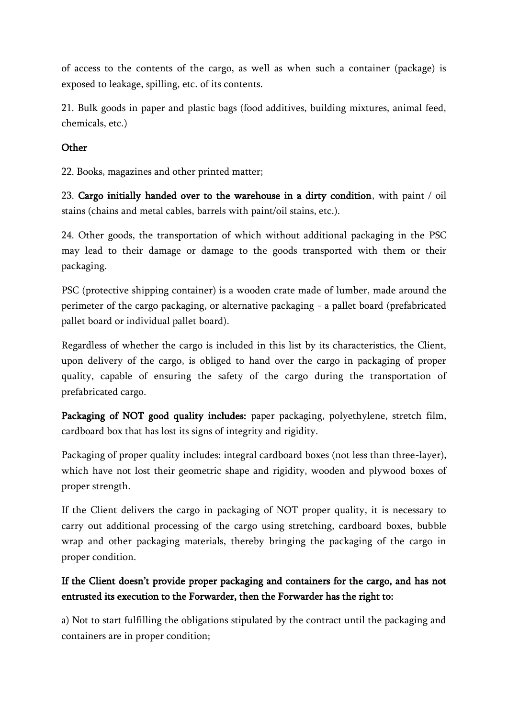of access to the contents of the cargo, as well as when such a container (package) is exposed to leakage, spilling, etc. of its contents.

21. Bulk goods in paper and plastic bags (food additives, building mixtures, animal feed, chemicals, etc.)

### **Other**

22. Books, magazines and other printed matter;

23. Cargo initially handed over to the warehouse in a dirty condition, with paint / oil stains (chains and metal cables, barrels with paint/oil stains, etc.).

24. Other goods, the transportation of which without additional packaging in the PSC may lead to their damage or damage to the goods transported with them or their packaging.

PSC (protective shipping container) is a wooden crate made of lumber, made around the perimeter of the cargo packaging, or alternative packaging - a pallet board (prefabricated pallet board or individual pallet board).

Regardless of whether the cargo is included in this list by its characteristics, the Client, upon delivery of the cargo, is obliged to hand over the cargo in packaging of proper quality, capable of ensuring the safety of the cargo during the transportation of prefabricated cargo.

Packaging of NOT good quality includes: paper packaging, polyethylene, stretch film, cardboard box that has lost its signs of integrity and rigidity.

Packaging of proper quality includes: integral cardboard boxes (not less than three-layer), which have not lost their geometric shape and rigidity, wooden and plywood boxes of proper strength.

If the Client delivers the cargo in packaging of NOT proper quality, it is necessary to carry out additional processing of the cargo using stretching, cardboard boxes, bubble wrap and other packaging materials, thereby bringing the packaging of the cargo in proper condition.

# If the Client doesn't provide proper packaging and containers for the cargo, and has not entrusted its execution to the Forwarder, then the Forwarder has the right to:

a) Not to start fulfilling the obligations stipulated by the contract until the packaging and containers are in proper condition;